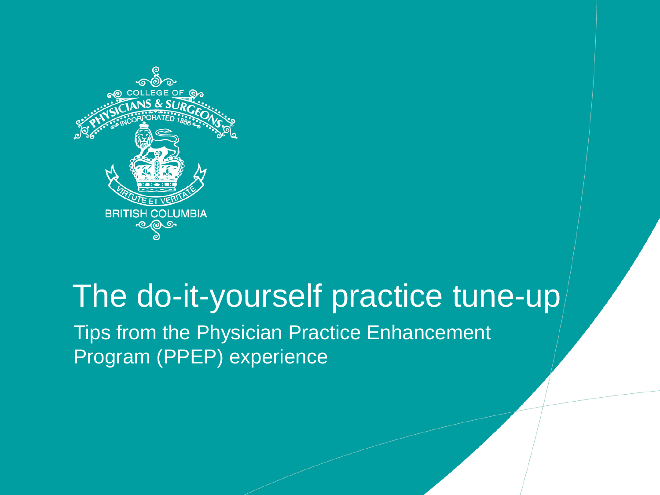

#### The do-it-yourself practice tune-up

Tips from the Physician Practice Enhancement Program (PPEP) experience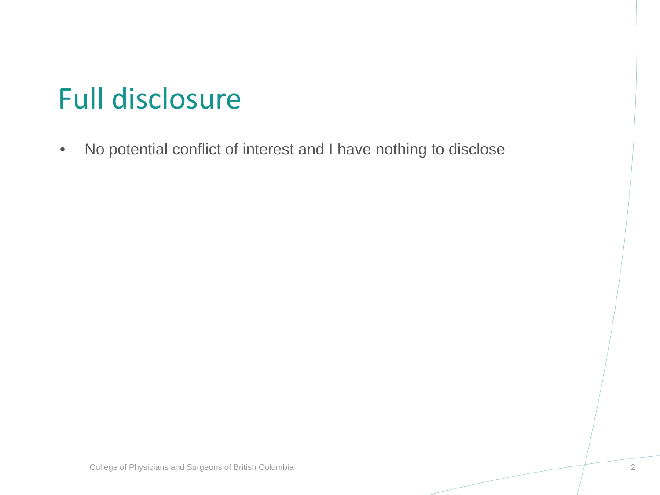## Full disclosure

• No potential conflict of interest and I have nothing to disclose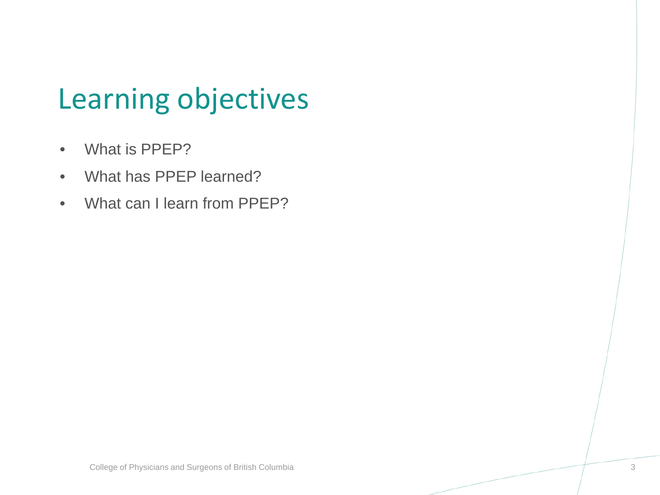### Learning objectives

- What is PPEP?
- What has PPEP learned?
- What can I learn from PPEP?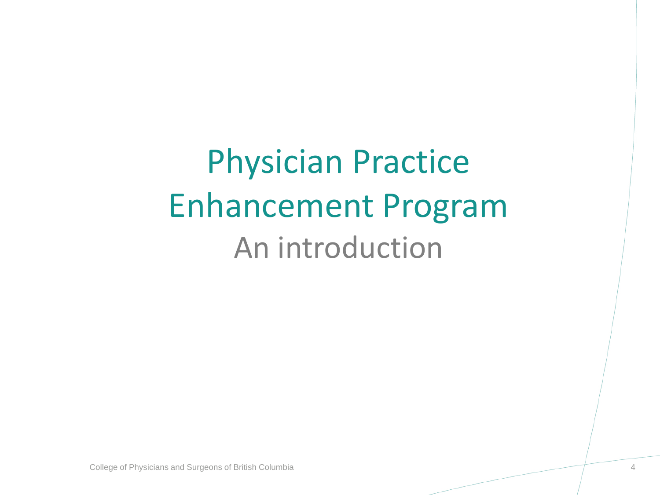Physician Practice Enhancement Program An introduction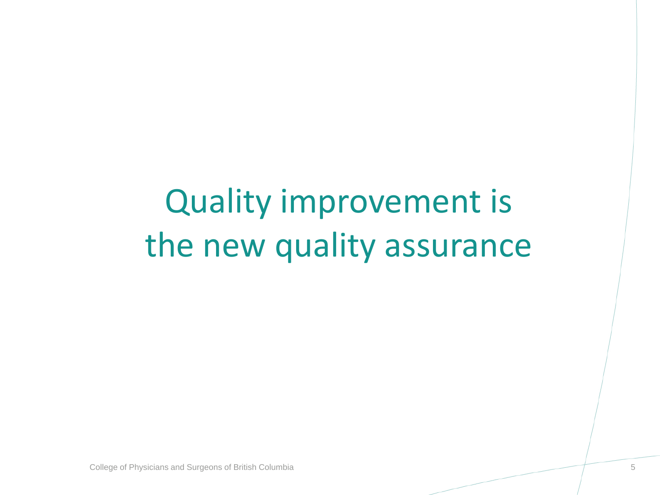## Quality improvement is the new quality assurance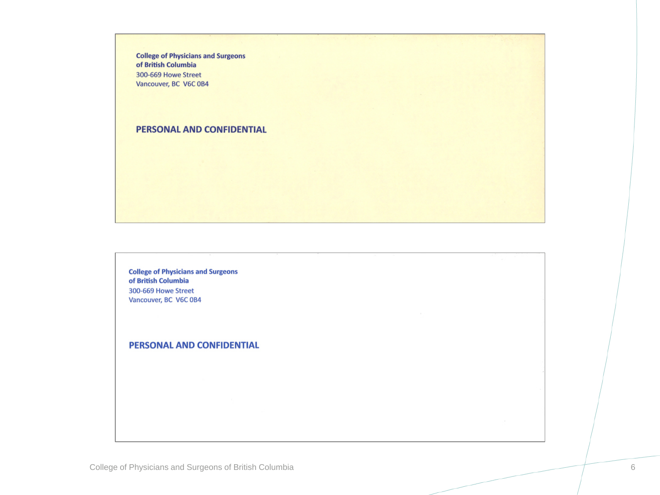**College of Physicians and Surgeons** of British Columbia 300-669 Howe Street Vancouver, BC V6C 0B4

#### PERSONAL AND CONFIDENTIAL

**College of Physicians and Surgeons** of British Columbia 300-669 Howe Street Vancouver, BC V6C 0B4

PERSONAL AND CONFIDENTIAL

College of Physicians and Surgeons of British Columbia 6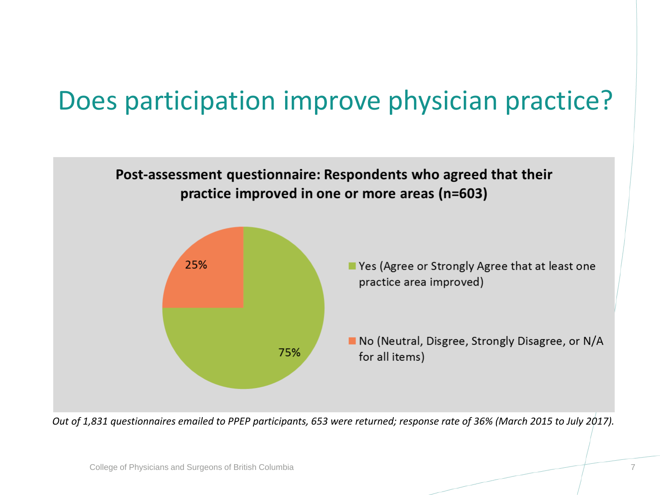#### Does participation improve physician practice?



*Out of 1,831 questionnaires emailed to PPEP participants, 653 were returned; response rate of 36% (March 2015 to July 2017).*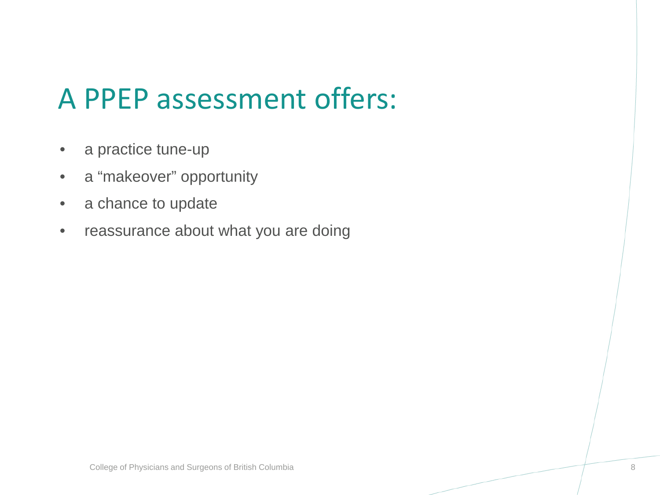#### A PPEP assessment offers:

- a practice tune-up
- a "makeover" opportunity
- a chance to update
- reassurance about what you are doing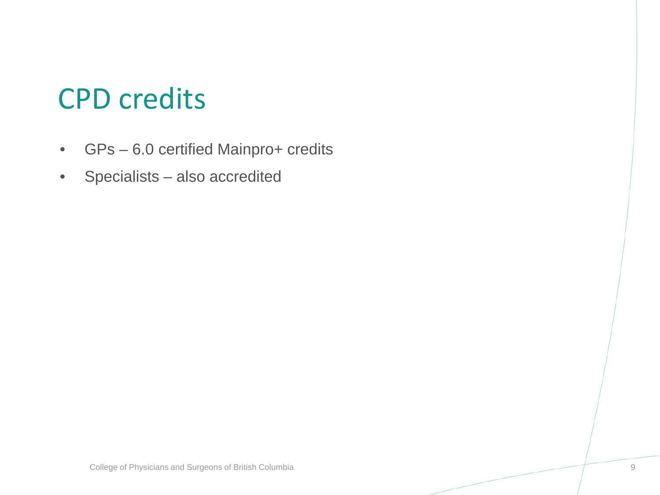#### CPD credits

- GPs 6.0 certified Mainpro+ credits
- Specialists also accredited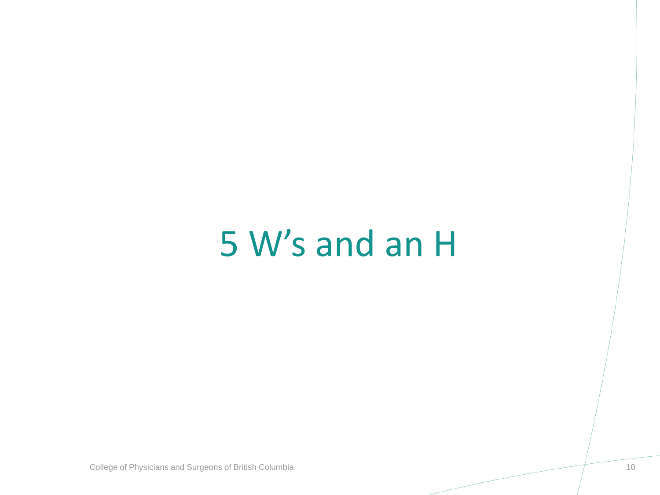## 5 W's and an H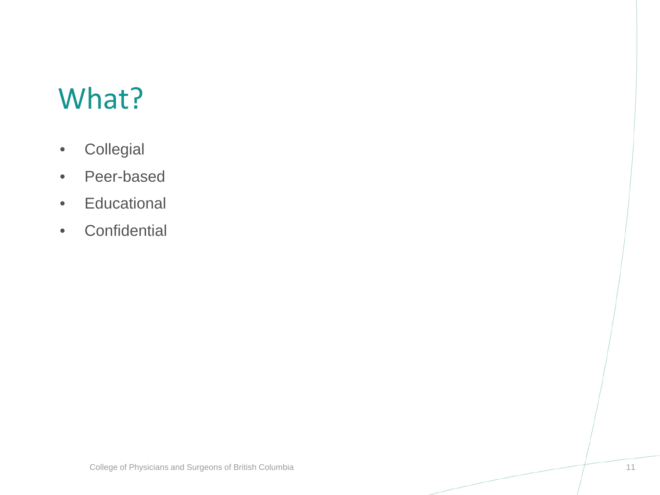#### What?

- Collegial
- Peer-based
- Educational
- Confidential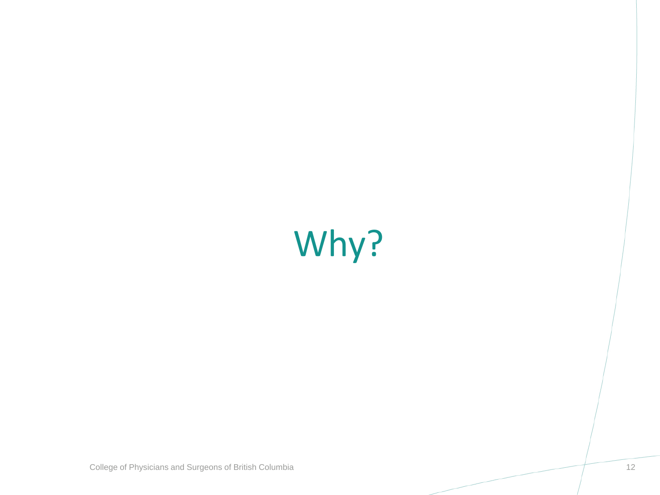# Why?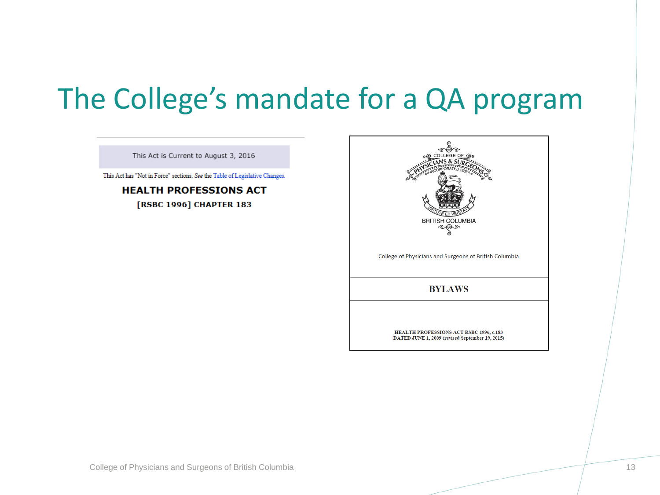#### The College's mandate for a QA program

This Act is Current to August 3, 2016

This Act has "Not in Force" sections. See the Table of Legislative Changes.

**HEALTH PROFESSIONS ACT** [RSBC 1996] CHAPTER 183

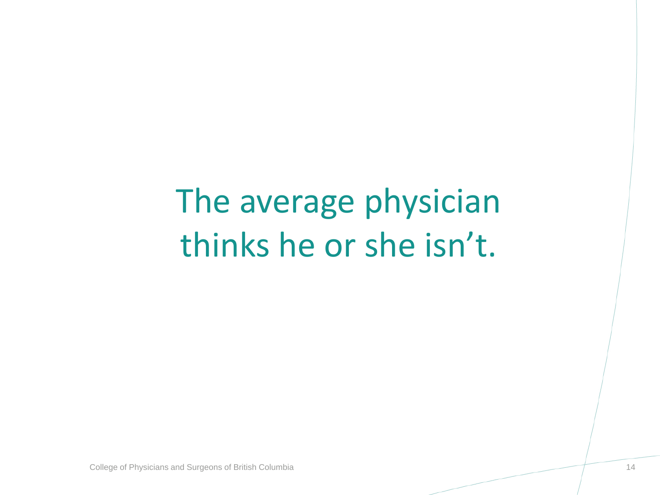## The average physician thinks he or she isn't.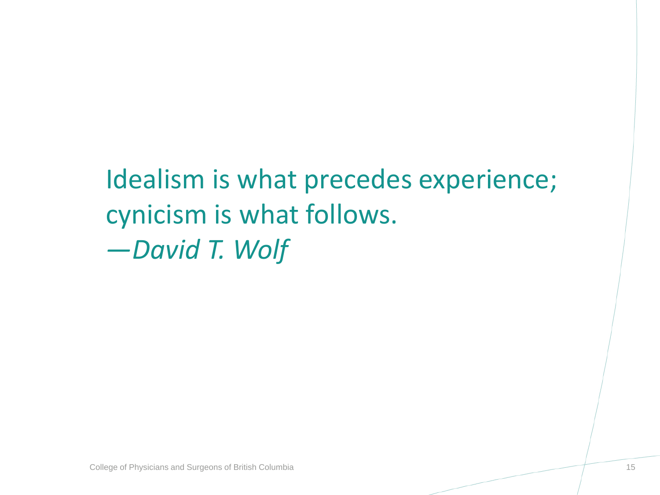#### Idealism is what precedes experience; cynicism is what follows. *—David T. Wolf*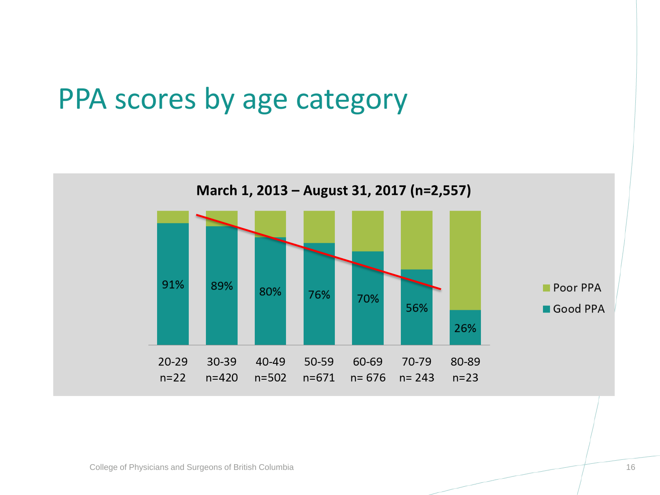#### PPA scores by age category

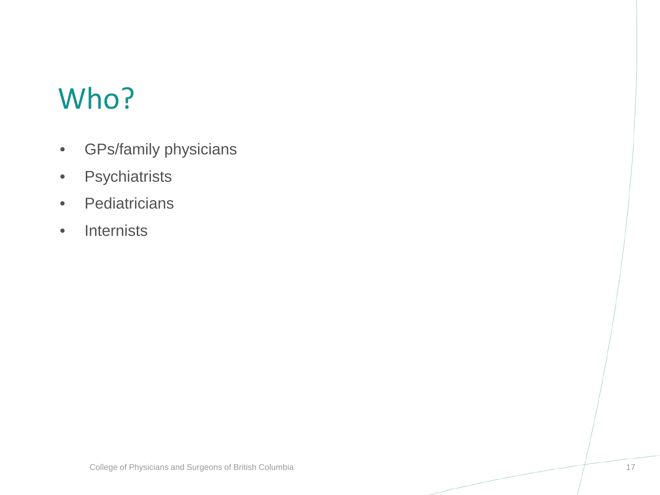#### Who?

- GPs/family physicians
- Psychiatrists
- Pediatricians
- Internists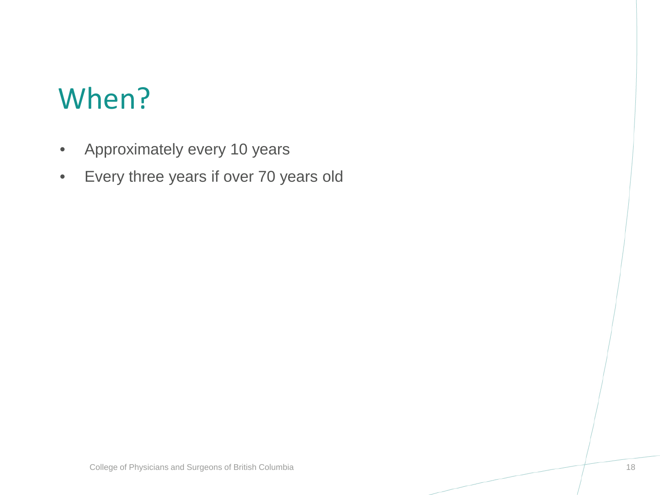#### When?

- Approximately every 10 years
- Every three years if over 70 years old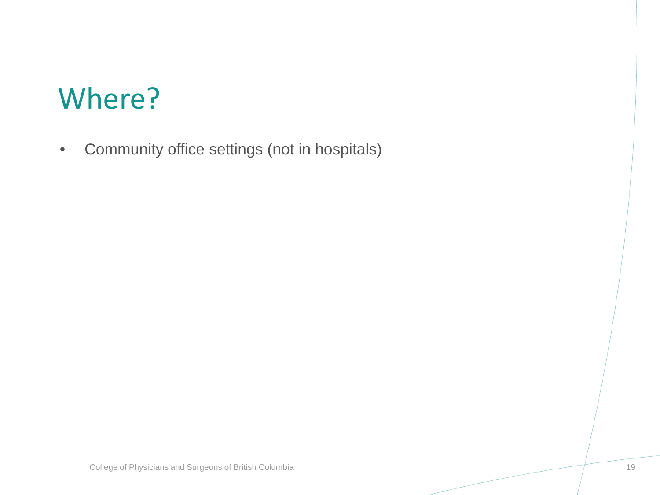#### Where?

• Community office settings (not in hospitals)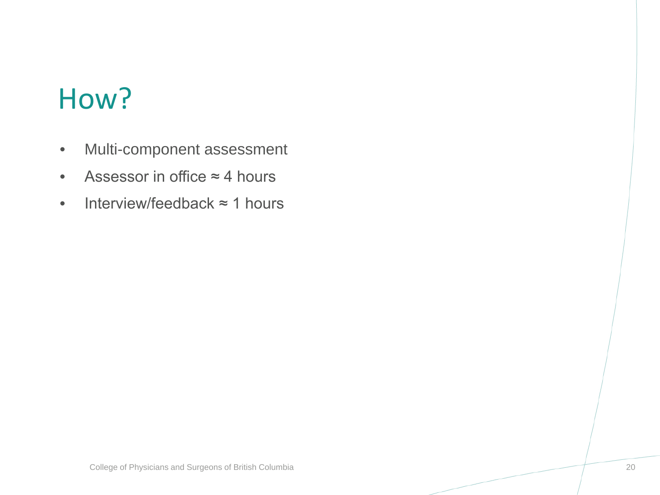#### How?

- Multi-component assessment
- Assessor in office ≈ 4 hours
- Interview/feedback ≈ 1 hours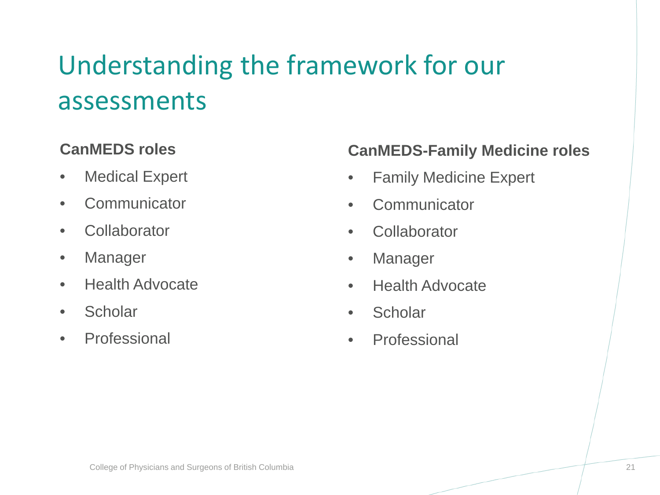#### Understanding the framework for our assessments

#### **CanMEDS roles**

- Medical Expert
- Communicator
- Collaborator
- Manager
- Health Advocate
- Scholar
- Professional

#### **CanMEDS-Family Medicine roles**

- Family Medicine Expert
- Communicator
- Collaborator
- Manager
- Health Advocate
- Scholar
- Professional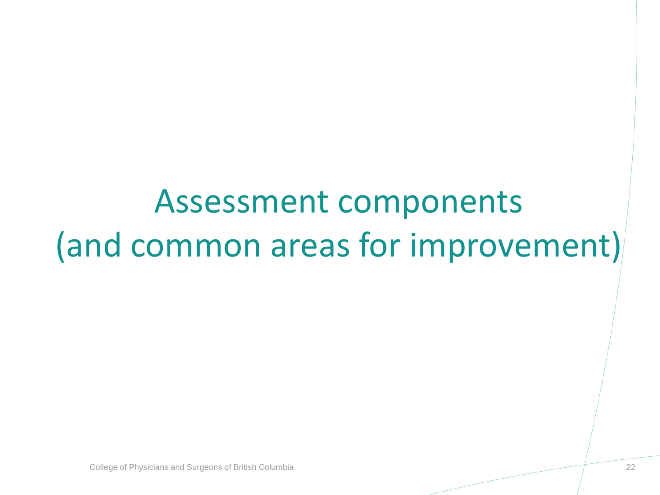## Assessment components (and common areas for improvement)

College of Physicians and Surgeons of British Columbia 22  $\sim$  22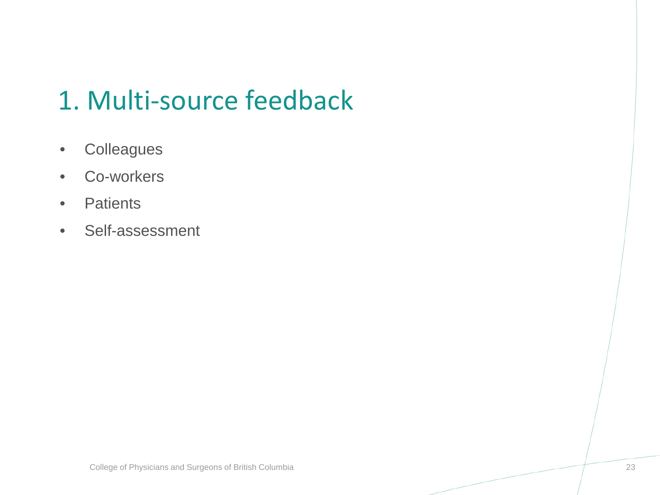#### 1. Multi-source feedback

- Colleagues
- Co-workers
- Patients
- Self-assessment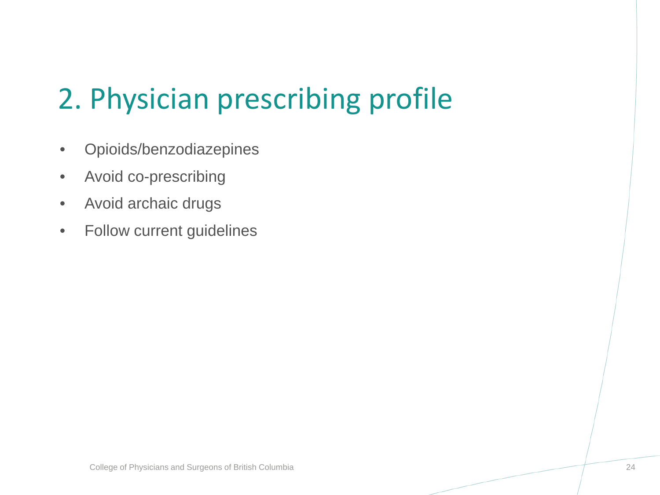## 2. Physician prescribing profile

- Opioids/benzodiazepines
- Avoid co-prescribing
- Avoid archaic drugs
- Follow current guidelines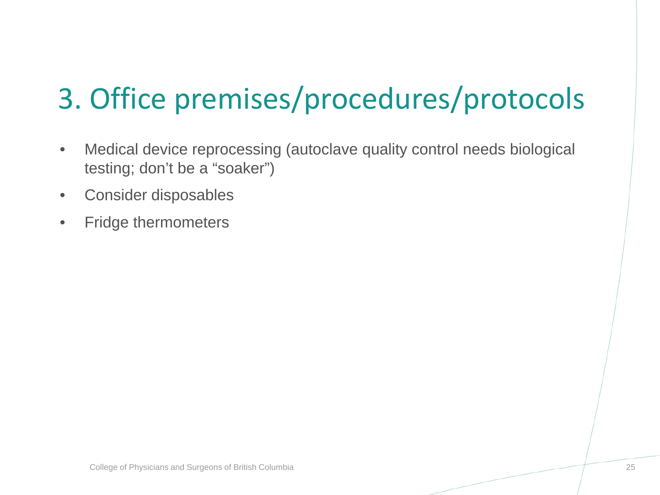## 3. Office premises/procedures/protocols

- Medical device reprocessing (autoclave quality control needs biological testing; don't be a "soaker")
- Consider disposables
- Fridge thermometers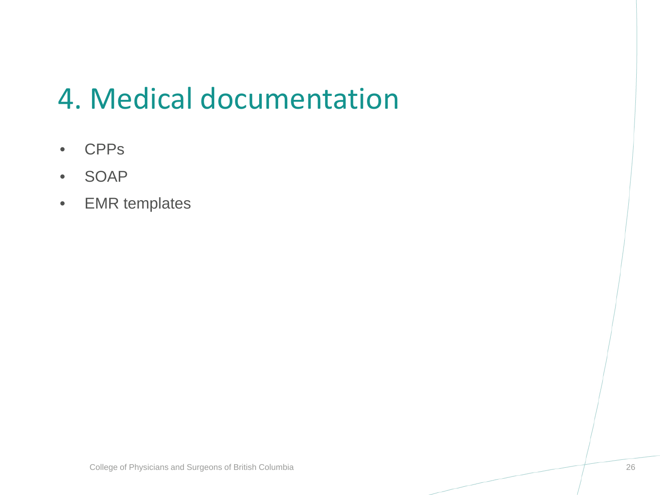#### 4. Medical documentation

- CPPs
- SOAP
- EMR templates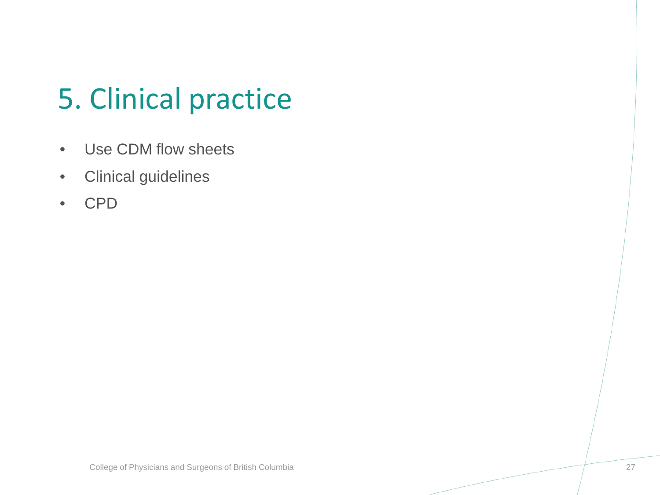## 5. Clinical practice

- Use CDM flow sheets
- Clinical guidelines
- CPD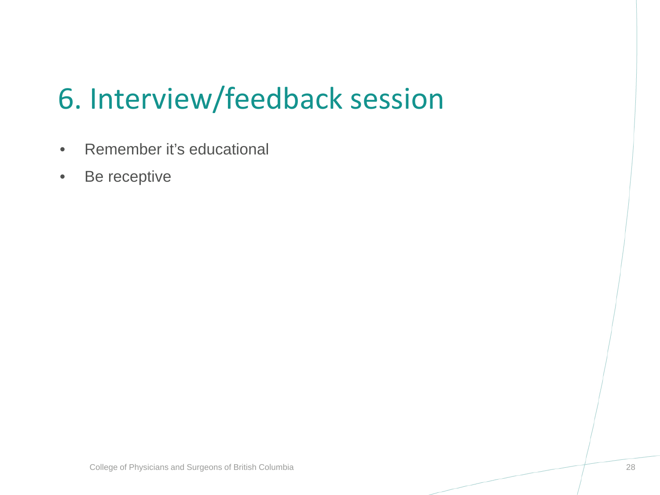## 6. Interview/feedback session

- Remember it's educational
- Be receptive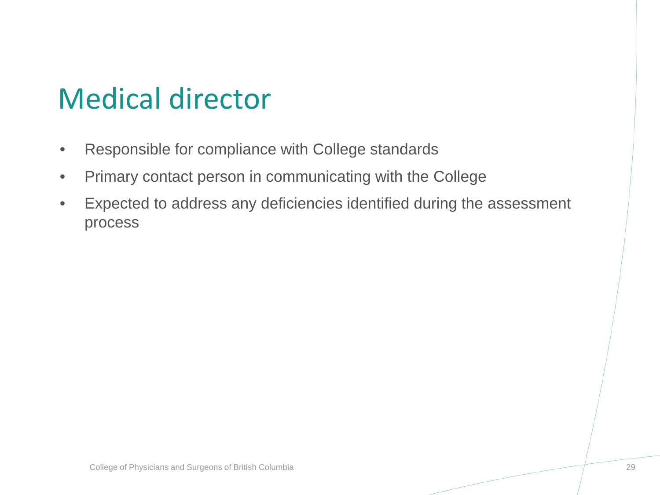#### Medical director

- Responsible for compliance with College standards
- Primary contact person in communicating with the College
- Expected to address any deficiencies identified during the assessment process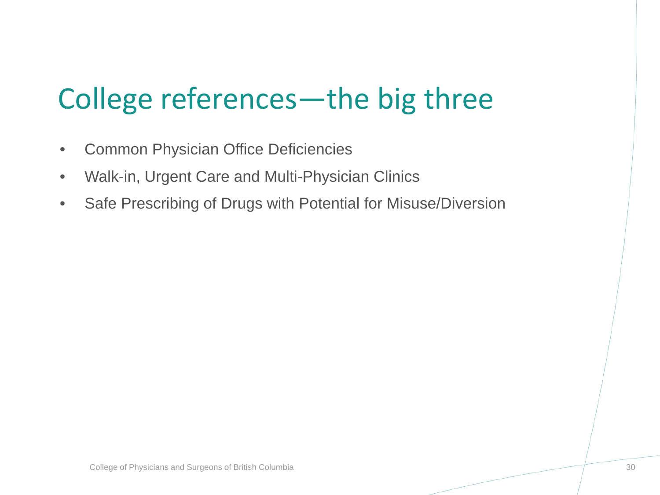### College references—the big three

- Common Physician Office Deficiencies
- Walk-in, Urgent Care and Multi-Physician Clinics
- Safe Prescribing of Drugs with Potential for Misuse/Diversion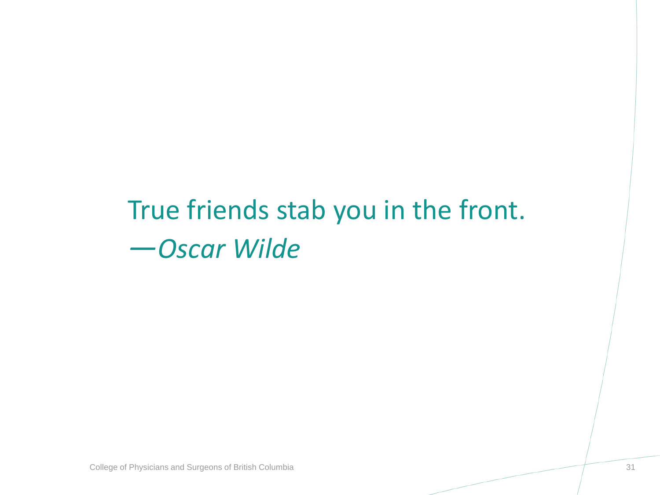#### True friends stab you in the front. *—Oscar Wilde*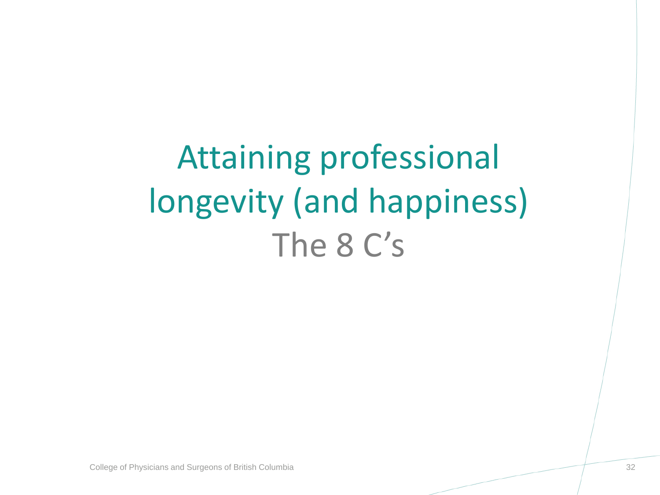Attaining professional longevity (and happiness) The 8 C's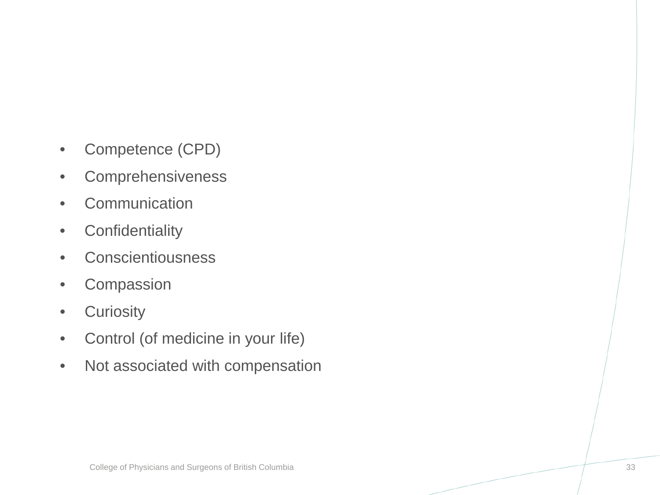- Competence (CPD)
- Comprehensiveness
- Communication
- Confidentiality
- Conscientiousness
- Compassion
- Curiosity
- Control (of medicine in your life)
- Not associated with compensation